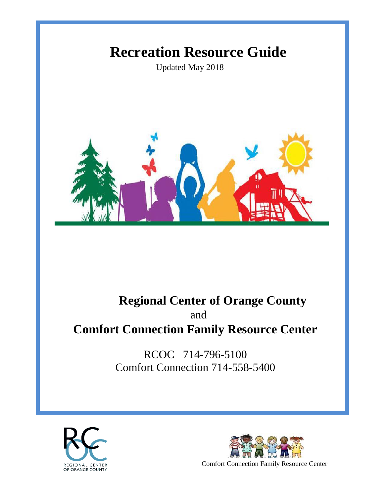# **Recreation Resource Guide**

Updated May 2018



## **Regional Center of Orange County** and **Comfort Connection Family Resource Center**

RCOC 714-796-5100 Comfort Connection 714-558-5400



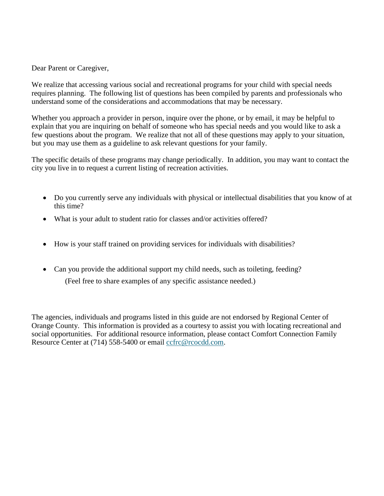Dear Parent or Caregiver,

We realize that accessing various social and recreational programs for your child with special needs requires planning. The following list of questions has been compiled by parents and professionals who understand some of the considerations and accommodations that may be necessary.

Whether you approach a provider in person, inquire over the phone, or by email, it may be helpful to explain that you are inquiring on behalf of someone who has special needs and you would like to ask a few questions about the program. We realize that not all of these questions may apply to your situation, but you may use them as a guideline to ask relevant questions for your family.

The specific details of these programs may change periodically. In addition, you may want to contact the city you live in to request a current listing of recreation activities.

- Do you currently serve any individuals with physical or intellectual disabilities that you know of at this time?
- What is your adult to student ratio for classes and/or activities offered?
- How is your staff trained on providing services for individuals with disabilities?
- Can you provide the additional support my child needs, such as toileting, feeding? (Feel free to share examples of any specific assistance needed.)

The agencies, individuals and programs listed in this guide are not endorsed by Regional Center of Orange County. This information is provided as a courtesy to assist you with locating recreational and social opportunities. For additional resource information, please contact Comfort Connection Family Resource Center at (714) 558-5400 or email [ccfrc@rcocdd.com.](mailto:ccfrc@rcocdd.com)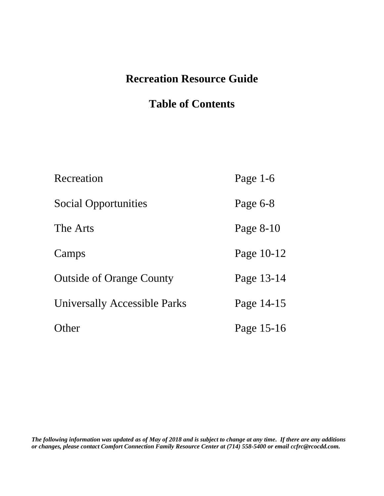## **Recreation Resource Guide**

## **Table of Contents**

| Recreation                          | Page $1-6$ |
|-------------------------------------|------------|
| <b>Social Opportunities</b>         | Page 6-8   |
| The Arts                            | Page 8-10  |
| Camps                               | Page 10-12 |
| <b>Outside of Orange County</b>     | Page 13-14 |
| <b>Universally Accessible Parks</b> | Page 14-15 |
| Other                               | Page 15-16 |

*The following information was updated as of May of 2018 and is subject to change at any time. If there are any additions or changes, please contact Comfort Connection Family Resource Center at (714) 558-5400 or email ccfrc@rcocdd.com.*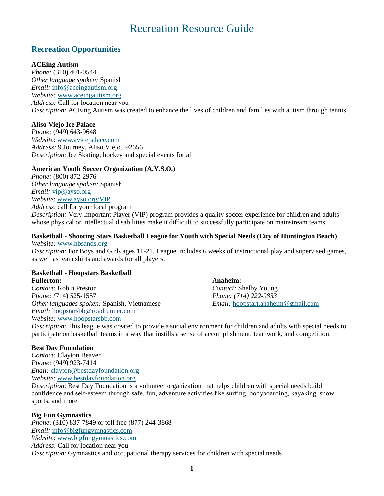## Recreation Resource Guide

## **Recreation Opportunities**

## **ACEing Autism**

*Phone:* (310) 401-0544 *Other language spoken:* Spanish *Email:* [info@aceingautism.org](mailto:info@aceingautism.org) *Website:* [www.aceingautism.org](http://www.aceingautism.org/) *Address:* Call for location near you *Description:* ACEing Autism was created to enhance the lives of children and families with autism through tennis

## **Aliso Viejo Ice Palace**

*Phone:* (949) 643-9648 *Website*: [www.avicepalace.com](http://www.avicepalace.com/) *Address:* 9 Journey, Aliso Viejo, 92656 *Description:* Ice Skating, hockey and special events for all

## **American Youth Soccer Organization (A.Y.S.O.)**

*Phone:* (800) 872-2976 *Other language spoken:* Spanish *Email:* [vip@ayso.org](mailto:vip@ayso.org) *Website*: [www.ayso.org/VIP](http://www.ayso.org/VIP) *Address*: call for your local program

*Description:* Very Important Player (VIP) program provides a quality soccer experience for children and adults whose physical or intellectual disabilities make it difficult to successfully participate on mainstream teams

#### **Basketball - Shooting Stars Basketball League for Youth with Special Needs (City of Huntington Beach)** *Website:* [www.hbsands.org](http://www.hbsands.org/)

*Description:* For Boys and Girls ages 11-21. League includes 6 weeks of instructional play and supervised games, as well as team shirts and awards for all players.

#### **Basketball - Hoopstars Basketball Fullerton: Anaheim:**

*Contact:* Robin Preston *Contact:* Shelby Young *Phone: (*714) 525-1557 *Phone: (714) 222-9833 Other languages spoken:* Spanish, Vietnamese *Email:* [hoopstart.anaheim@gmail.com](mailto:hoopstart.anaheim@gmail.com) *Email:* hoopstarsbb@roadrunner.com *Website:* [www.hoopstarsbb.com](http://www.hoopstarsbb.com/)

*Description*: This league was created to provide a social environment for children and adults with special needs to participate on basketball teams in a way that instills a sense of accomplishment, teamwork, and competition.

## **Best Day Foundation**

*Contact:* Clayton Beaver *Phone:* (949) 923-7414 *Enail:* [clayton@bestdayfoundation.org](mailto:clayton@bestdayfoundation.org) *Website*: [www.bestdayfoundation.org](http://www.bestdayfoundation.org/)

*Description*: Best Day Foundation is a volunteer organization that helps children with special needs build confidence and self-esteem through safe, fun, adventure activities like surfing, bodyboarding, kayaking, snow sports, and more

## **Big Fun Gymnastics**

*Phone*: (310) 837-7849 or toll free (877) 244-3868 *Email:* [info@bigfungymnastics.com](mailto:info@bigfungymnastics.com) *Website*: [www.bigfungymnastics.com](http://www.bigfungymnastics.com/) *Address*: Call for location near you *Description*: Gymnastics and occupational therapy services for children with special needs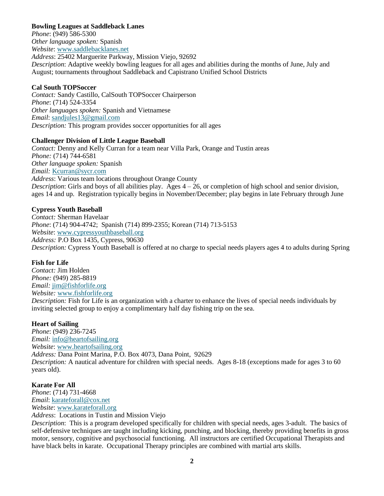## **Bowling Leagues at Saddleback Lanes**

*Phone*: (949) 586-5300 *Other language spoken:* Spanish *Website*: [www.saddlebacklanes.net](http://www.saddlebacklanes.net/) *Address*: 25402 Marguerite Parkway, Mission Viejo, 92692 *Description*: Adaptive weekly bowling leagues for all ages and abilities during the months of June, July and August; tournaments throughout Saddleback and Capistrano Unified School Districts

#### **Cal South TOPSoccer**

*Contact:* Sandy Castillo, CalSouth TOPSoccer Chairperson *Phone*: (714) 524-3354 *Other languages spoken:* Spanish and Vietnamese *Email*: [sandjules13@gmail.com](mailto:sandjules13@gmail.com) *Description:* This program provides soccer opportunities for all ages

#### **Challenger Division of Little League Baseball**

*Contact:* Denny and Kelly Curran for a team near Villa Park, Orange and Tustin areas *Phone:* (714) 744-6581 *Other language spoken:* Spanish *Email:* [Kcurran@sycr.com](mailto:Kcurran@sycr.com) *Address*: Various team locations throughout Orange County *Description*: Girls and boys of all abilities play. Ages 4 – 26, or completion of high school and senior division, ages 14 and up. Registration typically begins in November/December; play begins in late February through June

#### **Cypress Youth Baseball**

*Contact:* Sherman Havelaar *Phone*: (714) 904-4742; Spanish (714) 899-2355; Korean (714) 713-5153 *Website*: [www.cypressyouthbaseball.org](http://www.cypressyouthbaseball.org/)  *Address:* P.O Box 1435, Cypress, 90630 *Description:* Cypress Youth Baseball is offered at no charge to special needs players ages 4 to adults during Spring

#### **Fish for Life**

*Contact:* Jim Holden *Phone:* (949) 285-8819 *Email:* [jim@fishforlife.org](mailto:jim@fishforlife.org) *Website:* [www.fishforlife.org](http://www.fishforlife.org/) *Description:* Fish for Life is an organization with a charter to enhance the lives of special needs individuals by inviting selected group to enjoy a complimentary half day fishing trip on the sea.

#### **Heart of Sailing**

*Phone*: (949) 236-7245 *Email:* [info@heartofsailing.org](mailto:info@heartofsailing.org) *Website*: [www.heartofsailing.org](http://www.heartofsailing.org/)  *Address:* Dana Point Marina, P.O. Box 4073, Dana Point, 92629 *Description:* A nautical adventure for children with special needs. Ages 8-18 (exceptions made for ages 3 to 60 years old).

#### **Karate For All**

*Phone*: (714) 731-4668 *Email*: [karateforall@cox.net](mailto:karateforall@cox.net) *Website*: [www.karateforall.org](http://www.karateforall.org/) *Address*: Locations in Tustin and Mission Viejo

*Description*: This is a program developed specifically for children with special needs, ages 3-adult. The basics of self-defensive techniques are taught including kicking, punching, and blocking, thereby providing benefits in gross motor, sensory, cognitive and psychosocial functioning. All instructors are certified Occupational Therapists and have black belts in karate. Occupational Therapy principles are combined with martial arts skills.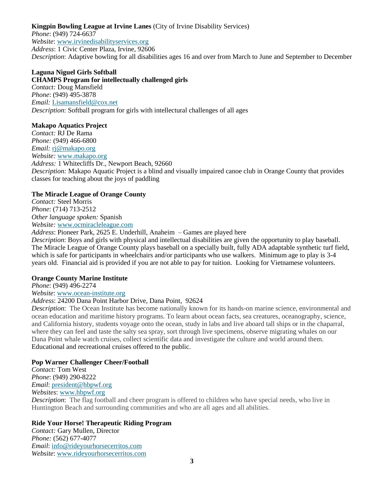#### **Kingpin Bowling League at Irvine Lanes** (City of Irvine Disability Services) *Phone*: (949) 724-6637 *Website*: [www.irvinedisabilityservices.org](http://www.irvinedisabilityservices.org/) *Address*: 1 Civic Center Plaza, Irvine, 92606 *Description*: Adaptive bowling for all disabilities ages 16 and over from March to June and September to December

## **Laguna Niguel Girls Softball**

**CHAMPS Program for intellectually challenged girls** *Contact:* Doug Mansfield *Phone*: (949) 495-3878 *Email:* [Lisamansfield@cox.net](mailto:Lisamansfield@cox.net) *Description*: Softball program for girls with intellectural challenges of all ages

## **Makapo Aquatics Project**

*Contact:* RJ De Rama *Phone:* (949) 466-6800 *Email:* [rj@makapo.org](mailto:rj@makapo.org) *Website:* [www.makapo.org](http://www.makapo.org/) *Address:* 1 Whitecliffs Dr., Newport Beach, 92660 *Description:* Makapo Aquatic Project is a blind and visually impaired canoe club in Orange County that provides classes for teaching about the joys of paddling

## **The Miracle League of Orange County**

*Contact:* Steel Morris *Phone*: (714) 713-2512 *Other language spoken:* Spanish *Website:* [www.ocmiracleleague.com](http://www.ocmiracleleague.com/)

#### *Address*: Pioneer Park, 2625 E. Underhill, Anaheim – Games are played here

*Description*: Boys and girls with physical and intellectual disabilities are given the opportunity to play baseball. The Miracle League of Orange County plays baseball on a specially built, fully ADA adaptable synthetic turf field, which is safe for participants in wheelchairs and/or participants who use walkers. Minimum age to play is 3-4 years old. Financial aid is provided if you are not able to pay for tuition. Looking for Vietnamese volunteers.

#### **Orange County Marine Institute**

*Phone*: (949) 496-2274

*Website*: [www.ocean-institute.org](http://www.ocean-institute.org/)

## *Address*: 24200 Dana Point Harbor Drive, Dana Point, 92624

*Description*: The Ocean Institute has become nationally known for its hands-on marine science, environmental and ocean education and maritime history programs. To learn about ocean facts, sea creatures, oceanography, science, and California history, students voyage onto the ocean, study in labs and live aboard tall ships or in the chaparral, where they can feel and taste the salty sea spray, sort through live specimens, observe migrating whales on our Dana Point whale watch cruises, collect scientific data and investigate the culture and world around them. Educational and recreational cruises offered to the public.

## **Pop Warner Challenger Cheer/Football**

*Contact:* Tom West *Phone*: (949) 290-8222 *Email*: [president@hbpwf.org](mailto:president@hbpwf.org) *Websites*: [www.hbpwf.org](http://www.hbpwf.org/)

*Description*: The flag football and cheer program is offered to children who have special needs, who live in Huntington Beach and surrounding communities and who are all ages and all abilities.

## **Ride Your Horse! Therapeutic Riding Program**

*Contact:* Gary Mullen, Director *Phone:* (562) 677-4077 *Email*: [info@rideyourhorsecerritos.com](mailto:info@rideyourhorsecerritos.com) *Website*: [www.rideyourhorsecerritos.com](http://www.rideyourhorsecerritos.com/)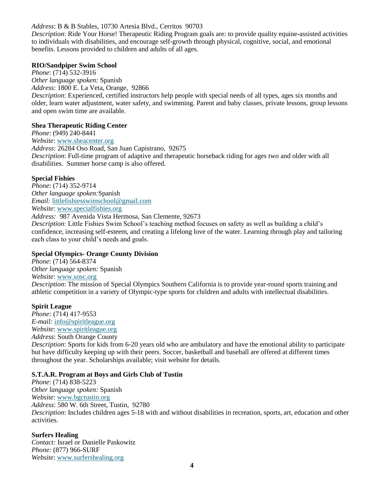## *Address*: B & B Stables, 10730 Artesia Blvd., Cerritos 90703

*Description*: Ride Your Horse! Therapeutic Riding Program goals are: to provide quality equine-assisted activities to individuals with disabilities, and encourage self-growth through physical, cognitive, social, and emotional benefits. Lessons provided to children and adults of all ages.

#### **RIO/Sandpiper Swim School**

*Phone*: (714) 532-3916 *Other language spoken:* Spanish *Address*: 1800 E. La Veta, Orange, 92866 *Description*: Experienced, certified instructors help people with special needs of all types, ages six months and older, learn water adjustment, water safety, and swimming. Parent and baby classes, private lessons, group lessons and open swim time are available.

#### **Shea Therapeutic Riding Center**

*Phone*: (949) 240-8441 *Website*: [www.sheacenter.org](http://www.sheacenter.org/) *Address*: 26284 Oso Road, San Juan Capistrano, 92675 *Description*: Full-time program of adaptive and therapeutic horseback riding for ages two and older with all disabilities. Summer horse camp is also offered.

## **Special Fishies**

*Phone*: (714) 352-9714 *Other language spoken:*Spanish *Email:* [littlefishiesswimschool@gmail.com](mailto:littlefishiesswimschool@gmail.com) *Website*: [www.specialfishies.org](http://www.specialfishies.org/) *Address:* 987 Avenida Vista Hermosa, San Clemente, 92673

*Description*: Little Fishies Swim School's teaching method focuses on safety as well as building a child's confidence, increasing self-esteem, and creating a lifelong love of the water. Learning through play and tailoring each class to your child's needs and goals.

## **Special Olympics- Orange County Division**

*Phone*: (714) 564-8374 *Other language spoken:* Spanish *Website*: [www.sosc.org](http://www.sosc.org/) *Description*: The mission of Special Olympics Southern California is to provide year-round sports training and athletic competition in a variety of Olympic-type sports for children and adults with intellectual disabilities.

#### **Spirit League**

*Phone:* (714) 417-9553 *E-mail:* [info@spiritleague.org](mailto:info@spiritleague.org) *Website*: [www.spiritleague.org](http://www.spiritleague.org/) *Address*: South Orange County *Description*: Sports for kids from 6-20 years old who are ambulatory and have the emotional ability to participate but have difficulty keeping up with their peers. Soccer, basketball and baseball are offered at different times throughout the year. Scholarships available; visit website for details.

#### **S.T.A.R. Program at Boys and Girls Club of Tustin**

*Phone*: (714) 838-5223 *Other language spoken:* Spanish *Website*: [www.bgctustin.org](http://www.bgctustin.org/) *Address*: 580 W. 6th Street, Tustin, 92780 *Description*: Includes children ages 5-18 with and without disabilities in recreation, sports, art, education and other activities.

## **Surfers Healing**

*Contact:* Israel or Danielle Paskowitz *Phone:* (877) 966-SURF *Website*: [www.surfershealing.org](http://www.surfershealing.org/)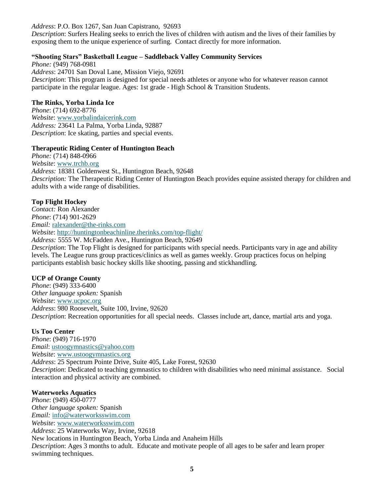#### *Address*: P.O. Box 1267, San Juan Capistrano, 92693

*Description*: Surfers Healing seeks to enrich the lives of children with autism and the lives of their families by exposing them to the unique experience of surfing. Contact directly for more information.

#### **"Shooting Stars" Basketball League – Saddleback Valley Community Services**

*Phone:* (949) 768-0981 *Address*: 24701 San Doval Lane, Mission Viejo, 92691 *Description*: This program is designed for special needs athletes or anyone who for whatever reason cannot participate in the regular league. Ages: 1st grade - High School & Transition Students.

#### **The Rinks, Yorba Linda Ice**

*Phone*: (714) 692-8776 *Website*: [www.yorbalindaicerink.com](http://www.yorbalindaicerink.com/) *Address:* 23641 La Palma, Yorba Linda, 92887 *Description*: Ice skating, parties and special events.

#### **Therapeutic Riding Center of Huntington Beach**

*Phone:* (714) 848-0966 *Website*: [www.trchb.org](http://www.trchb.org/) *Address:* 18381 Goldenwest St., Huntington Beach, 92648 *Description:* The Therapeutic Riding Center of Huntington Beach provides equine assisted therapy for children and adults with a wide range of disabilities.

## **Top Flight Hockey**

*Contact:* Ron Alexander *Phone*: (714) 901-2629 *Email:* [ralexander@the-rinks.com](mailto:ralexander@the-rinks.com) *Website*:<http://huntingtonbeachinline.therinks.com/top-flight/> *Address:* 5555 W. McFadden Ave., Huntington Beach, 92649

*Description*: The Top Flight is designed for participants with special needs. Participants vary in age and ability levels. The League runs group practices/clinics as well as games weekly. Group practices focus on helping participants establish basic hockey skills like shooting, passing and stickhandling.

#### **UCP of Orange County**

*Phone*: (949) 333-6400 *Other language spoken:* Spanish *Website*: [www.ucpoc.org](http://www.ucpoc.org/) *Address*: 980 Roosevelt, Suite 100, Irvine, 92620 *Description*: Recreation opportunities for all special needs. Classes include art, dance, martial arts and yoga.

#### **Us Too Center**

*Phone*: (949) 716-1970 *Email*: [ustoogymnastics@yahoo.com](mailto:ustoogymnastics@yahoo.com) *Website*: [www.ustoogymnastics.org](http://www.ustoogymnastics.org/) *Address*: 25 Spectrum Pointe Drive, Suite 405, Lake Forest, 92630 *Description*: Dedicated to teaching gymnastics to children with disabilities who need minimal assistance. Social interaction and physical activity are combined.

## **Waterworks Aquatics**

*Phone*: (949) 450-0777 *Other language spoken:* Spanish *Email:* [info@waterworksswim.com](mailto:info@waterworksswim.com) *Website*: [www.waterworksswim.com](http://www.waterworksswim.com/) *Address*: 25 Waterworks Way, Irvine, 92618 New locations in Huntington Beach, Yorba Linda and Anaheim Hills *Description*: Ages 3 months to adult. Educate and motivate people of all ages to be safer and learn proper swimming techniques.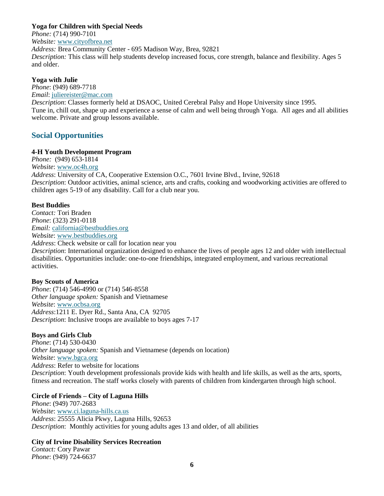## **Yoga for Children with Special Needs**

*Phone:* (714) 990-7101 *Website:* [www.cityofbrea.net](http://www.cityofbrea.net/)  *Address:* Brea Community Center - 695 Madison Way, Brea, 92821 *Description:* This class will help students develop increased focus, core strength, balance and flexibility. Ages 5 and older.

#### **Yoga with Julie**

*Phone*: (949) 689-7718 *Email*: [juliereister@mac.com](mailto:juliereister@mac.com)

*Description*: Classes formerly held at DSAOC, United Cerebral Palsy and Hope University since 1995. Tune in, chill out, shape up and experience a sense of calm and well being through Yoga. All ages and all abilities welcome. Private and group lessons available.

## **Social Opportunities**

## **4-H Youth Development Program**

*Phone:* (949) 653-1814 *Website*: [www.oc4h.org](http://www.oc4h.org/) *Address*: University of CA, Cooperative Extension O.C., 7601 Irvine Blvd., Irvine, 92618 *Description*: Outdoor activities, animal science, arts and crafts, cooking and woodworking activities are offered to children ages 5-19 of any disability. Call for a club near you.

## **Best Buddies**

*Contact:* Tori Braden *Phone*: (323) 291-0118 *Email:* [california@bestbuddies.org](mailto:california@bestbuddies.org) *Website*: [www.bestbuddies.org](http://www.bestbuddies.org/) *Address*: Check website or call for location near you *Description*: International organization designed to enhance the lives of people ages 12 and older with intellectual disabilities. Opportunities include: one-to-one friendships, integrated employment, and various recreational activities.

#### **Boy Scouts of America**

*Phone*: (714) 546-4990 or (714) 546-8558 *Other language spoken:* Spanish and Vietnamese *Website*: [www.ocbsa.org](http://www.ocbsa.org/) *Address*:1211 E. Dyer Rd., Santa Ana, CA 92705 *Description*: Inclusive troops are available to boys ages 7-17

## **Boys and Girls Club**

*Phone*: (714) 530-0430 *Other language spoken:* Spanish and Vietnamese (depends on location) *Website*: [www.bgca.org](http://www.bgca.org/) *Address*: Refer to website for locations *Description*: Youth development professionals provide kids with health and life skills, as well as the arts, sports, fitness and recreation. The staff works closely with parents of children from kindergarten through high school.

## **Circle of Friends – City of Laguna Hills**

*Phone*: (949) 707-2683 *Website*: [www.ci.laguna-hills.ca.us](http://www.ci.laguna-hills.ca.us/) *Address*: 25555 Alicia Pkwy, Laguna Hills, 92653 *Description*: Monthly activities for young adults ages 13 and older, of all abilities

#### **City of Irvine Disability Services Recreation**

*Contact:* Cory Pawar *Phone*: (949) 724-6637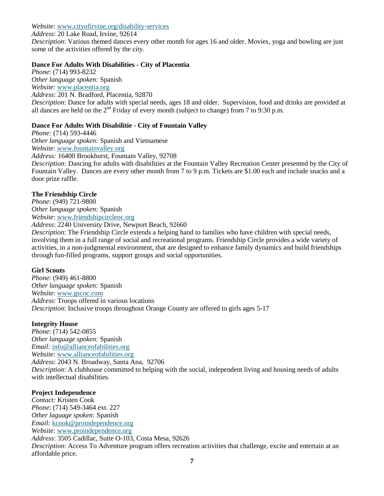#### *Website*: [www.cityofirvine.org/disability-services](http://www.cityofirvine.org/disability-services)

*Address*: 20 Lake Road, Irvine, 92614

*Description*: Various themed dances every other month for ages 16 and older. Movies, yoga and bowling are just some of the activities offered by the city.

## **Dance For Adults With Disabilities - City of Placentia**

*Phone*: (714) 993-8232 *Other language spoken:* Spanish *Website*: [www.placentia.org](http://www.placentia.org/)  *Address*: 201 N. Bradford, Placentia, 92870 *Description*: Dance for adults with special needs, ages 18 and older. Supervision, food and drinks are provided at all dances are held on the  $2<sup>nd</sup>$  Friday of every month (subject to change) from 7 to 9:30 p.m.

## **Dance For Adults With Disabilitie - City of Fountain Valley**

*Phone:* (714) 593-4446 *Other language spoken:* Spanish and Vietnamese *Website*: [www.fountainvalley.org](http://www.fountainvalley.org/) *Address:* 16400 Brookhurst, Fountain Valley, 92708 *Description:* Dancing for adults with disabilities at the Fountain Valley Recreation Center presented by the City of Fountain Valley. Dances are every other month from 7 to 9 p.m. Tickets are \$1.00 each and include snacks and a door prize raffle.

## **The Friendship Circle**

*Phone*: (949) 721-9800 *Other language spoken:* Spanish *Website*: [www.friendshipcircleoc.org](http://www.friendshipcircleoc.org/)

*Address*: 2240 University Drive, Newport Beach, 92660

*Description*: The Friendship Circle extends a helping hand to families who have children with special needs, involving them in a full range of social and recreational programs. Friendship Circle provides a wide variety of activities, in a non-judgmental environment, that are designed to enhance family dynamics and build friendships through fun-filled programs, support groups and social opportunities.

## **Girl Scouts**

*Phone*: (949) 461-8800 *Other language spoken:* Spanish *Website*: [www.gscoc.com](http://www.gscoc.com/) *Address*: Troops offered in various locations *Description*: Inclusive troops throughout Orange County are offered to girls ages 5-17

## **Integrity House**

*Phone*: (714) 542-0855 *Other language spoken:* Spanish *Email:* [info@allianceofabilities.org](mailto:info@allianceofabilities.org) *Website*: [www.allianceofabilities.org](http://www.allianceofabilities.org/) *Address*: 2043 N. Broadway, Santa Ana, 92706 *Description*: A clubhouse committed to helping with the social, independent living and housing needs of adults with intellectual disabilities.

## **Project Independence**

*Contact:* Kristen Cook *Phone*: (714) 549-3464 ext. 227 *Other laguage spoken:* Spanish *Email:* [kcook@proindependence.org](mailto:kcook@proindependence.org) *Website*: [www.proindependence.org](http://www.proindependence.org/) *Address*: 3505 Cadillac, Suite O-103, Costa Mesa, 92626 *Description*: Access To Adventure program offers recreation activities that challenge, excite and entertain at an affordable price.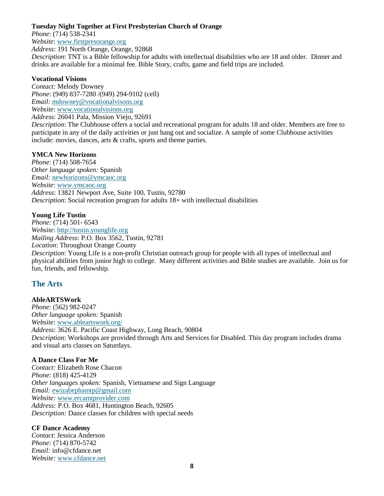## **Tuesday Night Together at First Presbyterian Church of Orange**

*Phone*: (714) 538-2341

*Website*: [www.firstpresorange.org](http://www.firstpresorange.org/)

*Address*: 191 North Orange, Orange, 92868

*Description*: TNT is a Bible fellowship for adults with intellectual disabilities who are 18 and older. Dinner and drinks are available for a minimal fee. Bible Story, crafts, game and field trips are included.

#### **Vocational Visions**

*Contact:* Melody Downey *Phone*: (949) 837-7280 /(949) 294-9102 (cell) *Email:* [mdowney@vocationalvisons.org](mailto:mdowney@vocationalvisons.org) *Website*: [www.vocationalvisions.org](http://www.vocationalvisions.org/)

*Address*: 26041 Pala, Mission Viejo, 92691

*Description*: The Clubhouse offers a social and recreational program for adults 18 and older. Members are free to participate in any of the daily activities or just hang out and socialize. A sample of some Clubhouse activities include: movies, dances, arts & crafts, sports and theme parties.

## **YMCA New Horizons**

*Phone*: (714) 508-7654 *Other language spoken:* Spanish *Email:* [newhorizons@ymcaoc.org](mailto:newhorizons@ymcaoc.org) *Website*: [www.ymcaoc.org](http://www.ymcaoc.org/) *Address*: 13821 Newport Ave, Suite 100, Tustin, 92780 *Description*: Social recreation program for adults 18+ with intellectual disabilities

## **Young Life Tustin**

*Phone:* (714) 501- 6543 *Website*: [http://tustin.younglife.org](http://tustin.younglife.org/) *Mailing Address*: P.O. Box 3562, Tustin, 92781 *Location*: Throughout Orange County *Description*: Young Life is a non-profit Christian outreach group for people with all types of intellectual and physical abilities from junior high to college. Many different activities and Bible studies are available. Join us for fun, friends, and fellowship.

## **The Arts**

## **AbleARTSWork**

*Phone*: (562) 982-0247 *Other language spoken:* Spanish *Website*: [www.ableartswork.org/](http://www.ableartswork.org/) *Address*: 3626 E. Pacific Coast Highway, Long Beach, 90804 *Description*: Workshops are provided through Arts and Services for Disabled. This day program includes drama and visual arts classes on Saturdays.

#### **A Dance Class For Me**

*Contact:* Elizabeth Rose Chacon *Phone:* (818) 425-4129 *Other languages spoken:* Spanish, Vietnamese and Sign Language *Email:* [ewizabephamtp@gmail.com](mailto:ewizabephamtp@gmail.com) *Website:* [www.ercamtprovider.com](http://www.ercamtprovider.com/) *Address:* P.O. Box 4681, Huntington Beach, 92605 *Description:* Dance classes for children with special needs

## **CF Dance Academy**

*Contact*: Jessica Anderson *Phone:* (714) 870-5742 *Email:* info@cfdance.net *Website:* [www.cfdance.net](http://www.cfdance.net/)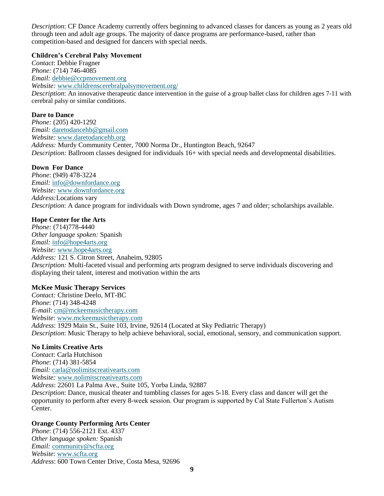*Description*: CF Dance Academy currently offers beginning to advanced classes for dancers as young as 2 years old through teen and adult age groups. The majority of dance programs are performance-based, rather than competition-based and designed for dancers with special needs.

#### **Children's Cerebral Palsy Movement**

*Contact*: Debbie Fragner *Phone:* (714) 746-4085 *Email:* [debbie@ccpmovement.org](mailto:debbie@ccpmovement.org) *Website:* [www.childrenscerebralpalsymovement.org/](http://www.childrenscerebralpalsymovement.org/) *Description*: An innovative therapeutic dance intervention in the guise of a group ballet class for children ages 7-11 with cerebral palsy or similar conditions.

## **Dare to Dance**

*Phone:* (205) 420-1292 *Email:* [daretodancehb@gmail.com](mailto:daretodancehb@gmail.com) *Website:* [www.daretodancehb.org](http://www.daretodancehb.org/) *Address:* Murdy Community Center, 7000 Norma Dr., Huntington Beach, 92647 *Description:* Ballroom classes designed for individuals 16+ with special needs and developmental disabilities.

## **Down For Dance**

*Phone*: (949) 478-3224 *Email:* [info@downfordance.org](mailto:info@downfordance.org) *Website:* [www.downfordance.org](http://www.downfordance.org/) *Address:*Locations vary *Description*: A dance program for individuals with Down syndrome, ages 7 and older; scholarships available.

## **Hope Center for the Arts**

*Phone:* (714)778-4440 *Other language spoken:* Spanish *Email:* [info@hope4arts.org](mailto:info@hope4arts.org) *Website:* [www.hope4arts.org](http://www.hope4arts.org/) *Address:* 121 S. Citron Street, Anaheim, 92805 *Description:* Multi-faceted visual and performing arts program designed to serve individuals discovering and displaying their talent, interest and motivation within the arts

## **McKee Music Therapy Services**

*Contact:* Christine Deelo, MT-BC *Phone*: (714) 348-4248 *E-mail*: [cm@mckeemusictherapy.com](mailto:cm@mckeemusictherapy.com) *Website*: [www.mckeemusictherapy.com](http://www.mckeemusictherapy.com/) *Address*: 1929 Main St., Suite 103, Irvine, 92614 (Located at Sky Pediatric Therapy) *Description*: Music Therapy to help achieve behavioral, social, emotional, sensory, and communication support.

## **No Limits Creative Arts**

*Contact*: Carla Hutchison *Phone*: (714) 381-5854 *Email:* [carla@nolimitscreativearts.com](mailto:carla@nolimitscreativearts.com) *Website:* [www.nolimitscreativearts.com](http://www.nolimitscreativearts.com/) *Address*: 22601 La Palma Ave., Suite 105, Yorba Linda, 92887 *Description*: Dance, musical theater and tumbling classes for ages 5-18. Every class and dancer will get the opportunity to perform after every 8-week session. Our program is supported by Cal State Fullerton's Autism Center.

## **Orange County Performing Arts Center**

*Phone*: (714) 556-2121 Ext. 4337 *Other language spoken:* Spanish *Email:* [community@scfta.org](mailto:community@scfta.org) *Website*: [www.scfta.org](http://www.scfta.org/) *Address*: 600 Town Center Drive, Costa Mesa, 92696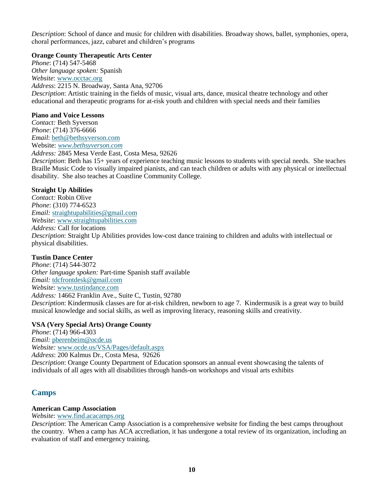*Description*: School of dance and music for children with disabilities. Broadway shows, ballet, symphonies, opera, choral performances, jazz, cabaret and children's programs

#### **Orange County Therapeutic Arts Center**

*Phone*: (714) 547-5468 *Other language spoken:* Spanish *Website*: [www.occtac.org](http://www.occtac.org/) *Address*: 2215 N. Broadway, Santa Ana, 92706 *Description*: Artistic training in the fields of music, visual arts, dance, musical theatre technology and other educational and therapeutic programs for at-risk youth and children with special needs and their families

#### **Piano and Voice Lessons**

*Contact:* Beth Syverson *Phone*: (714) 376-6666 *Email*: [beth@bethsyverson.com](mailto:beth@bethsyverson.com) Website: *[www.bethsyverson.com](http://www.bethsyverson.com/)*

*Address:* 2845 Mesa Verde East, Costa Mesa, 92626 *Description*: Beth has 15+ years of experience teaching music lessons to students with special needs. She teaches Braille Music Code to visually impaired pianists, and can teach children or adults with any physical or intellectual disability. She also teaches at Coastline Community College.

## **Straight Up Abilities**

*Contact:* Robin Olive *Phone*: (310) 774-6523 *Email:* [straightupabilities@gmail.com](mailto:straightupabilities@gmail.com) *Website*: [www.straightupabilities.com](http://www.straightupabilities.com/) *Address:* Call for locations *Description*: Straight Up Abilities provides low-cost dance training to children and adults with intellectual or physical disabilities.

## **Tustin Dance Center**

*Phone*: (714) 544-3072 *Other language spoken:* Part-time Spanish staff available *Email:* [tdcfrontdesk@gmail.com](mailto:tdcfrontdesk@gmail.com) *Website*: [www.tustindance.com](http://www.tustindance.com/) *Address:* 14662 Franklin Ave., Suite C, Tustin, 92780 *Description*: Kindermusik classes are for at-risk children, newborn to age 7. Kindermusik is a great way to build musical knowledge and social skills, as well as improving literacy, reasoning skills and creativity.

#### **VSA (Very Special Arts) Orange County**

*Phone*: (714) 966-4303 *Email:* [pberenbeim@ocde.us](mailto:pberenbeim@ocde.us) *Website:* [www.ocde.us/VSA/Pages/default.aspx](http://www.ocde.us/VSA/Pages/default.aspx) *Address*: 200 Kalmus Dr., Costa Mesa, 92626 *Description*: Orange County Department of Education sponsors an annual event showcasing the talents of individuals of all ages with all disabilities through hands-on workshops and visual arts exhibits

## **Camps**

## **American Camp Association**

*Website*: [www.find.acacamps.org](http://www.find.acacamps.org/)

*Description*: The American Camp Association is a comprehensive website for finding the best camps throughout the country. When a camp has ACA accrediation, it has undergone a total review of its organization, including an evaluation of staff and emergency training.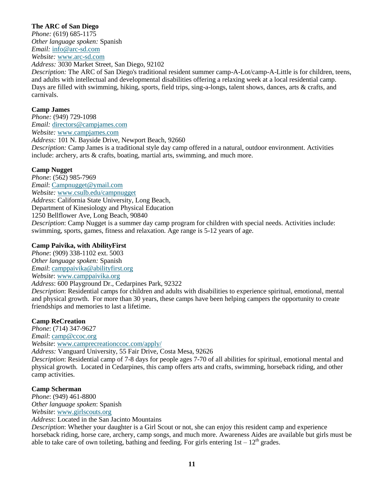## **The ARC of San Diego**

*Phone:* (619) 685-1175 *Other language spoken:* Spanish *Email:* [info@arc-sd.com](mailto:info@arc-sd.com) *Website:* [www.arc-sd.com](http://www.arc-sd.com/)

*Address:* 3030 Market Street, San Diego, 92102

*Description:* The ARC of San Diego's traditional resident summer camp-A-Lot/camp-A-Little is for children, teens, and adults with intellectual and developmental disabilities offering a relaxing week at a local residential camp. Days are filled with swimming, hiking, sports, field trips, sing-a-longs, talent shows, dances, arts & crafts, and carnivals.

## **Camp James**

*Phone:* (949) 729-1098 *Email:* [directors@campjames.com](mailto:directors@campjames.com) *Website:* [www.campjames.com](http://www.campjames.com/) *Address:* 101 N. Bayside Drive, Newport Beach, 92660 *Description:* Camp James is a traditional style day camp offered in a natural, outdoor environment. Activities include: archery, arts & crafts, boating, martial arts, swimming, and much more.

## **Camp Nugget**

*Phone*: (562) 985-7969 *Email*: [Campnugget@ymail.com](mailto:Campnugget@ymail.com) *Website:* [www.csulb.edu/campnugget](http://www.csulb.edu/campnugget) *Address*: California State University, Long Beach, Department of Kinesiology and Physical Education 1250 Bellflower Ave, Long Beach, 90840 *Description*: Camp Nugget is a summer day camp program for children with special needs. Activities include: swimming, sports, games, fitness and relaxation. Age range is 5-12 years of age.

## **Camp Paivika, with AbilityFirst**

*Phone*: (909) 338-1102 ext. 5003 *Other language spoken:* Spanish *Email*: [camppaivika@abilityfirst.org](mailto:camppaivika@abilityfirst.org) *Website*: [www.camppaivika.org](http://www.camppaivika.org/)

*Address*: 600 Playground Dr., Cedarpines Park, 92322

*Description*: Residential camps for children and adults with disabilities to experience spiritual, emotional, mental and physical growth. For more than 30 years, these camps have been helping campers the opportunity to create friendships and memories to last a lifetime.

#### **Camp ReCreation**

*Phone*: (714) 347-9627 *Email*: [camp@ccoc.org](mailto:camp@ccoc.org) *Website*: [www.camprecreationccoc.com/apply/](http://www.camprecreationccoc.com/apply/) 

*Address:* Vanguard University, 55 Fair Drive, Costa Mesa, 92626

*Description*: Residential camp of 7-8 days for people ages 7-70 of all abilities for spiritual, emotional mental and physical growth. Located in Cedarpines, this camp offers arts and crafts, swimming, horseback riding, and other camp activities.

## **Camp Scherman**

*Phone*: (949) 461-8800 *Other language spoken*: Spanish *Website*: [www.girlscouts.org](http://www.girlscouts.org/)

*Address*: Located in the San Jacinto Mountains

*Description*: Whether your daughter is a Girl Scout or not, she can enjoy this resident camp and experience horseback riding, horse care, archery, camp songs, and much more. Awareness Aides are available but girls must be able to take care of own toileting, bathing and feeding. For girls entering  $1st - 12<sup>th</sup>$  grades.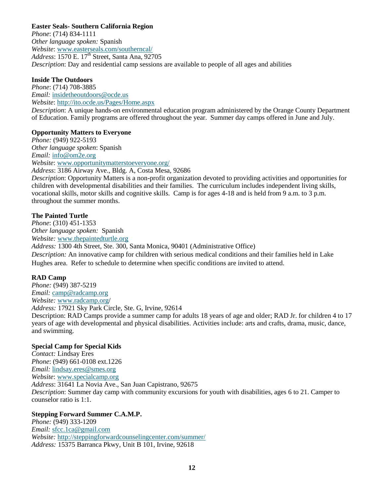## **Easter Seals- Southern California Region**

*Phone*: (714) 834-1111 *Other language spoken:* Spanish *Website*: [www.easterseals.com/southerncal/](http://www.easterseals.com/southerncal/) *Address*: 1570 E. 17th Street, Santa Ana, 92705 *Description*: Day and residential camp sessions are available to people of all ages and abilities

## **Inside The Outdoors**

*Phone*: (714) 708-3885 *Email:* [insidetheoutdoors@ocde.us](mailto:insidetheoutdoors@ocde.us) *Website*:<http://ito.ocde.us/Pages/Home.aspx>

*Description*: A unique hands-on environmental education program administered by the Orange County Department of Education. Family programs are offered throughout the year. Summer day camps offered in June and July.

## **Opportunity Matters to Everyone**

*Phone:* (949) 922-5193 *Other language spoken*: Spanish *Email:* [info@om2e.org](mailto:info@om2e.org) *Website*: [www.opportunitymatterstoeveryone.org/](http://www.opportunitymatterstoeveryone.org/)

*Address*: 3186 Airway Ave., Bldg. A, Costa Mesa, 92686

*Description*: Opportunity Matters is a non-profit organization devoted to providing activities and opportunities for children with developmental disabilities and their families. The curriculum includes independent living skills, vocational skills, motor skills and cognitive skills. Camp is for ages 4-18 and is held from 9 a.m. to 3 p.m. throughout the summer months.

## **The Painted Turtle**

*Phone*: (310) 451-1353 *Other language spoken:* Spanish *Website:* [www.thepaintedturtle.org](http://www.thepaintedturtle.org/) *Address:* 1300 4th Street, Ste. 300, Santa Monica, 90401 (Administrative Office) *Description:* An innovative camp for children with serious medical conditions and their families held in Lake

Hughes area. Refer to schedule to determine when specific conditions are invited to attend.

## **RAD Camp**

*Phone:* (949) 387-5219 *Email:* [camp@radcamp.org](mailto:camp@radcamp.org) *Website:* [www.radcamp.org/](http://www.radcamp.org/) *Address:* 17921 Sky Park Circle, Ste. G, Irvine, 92614 Description: RAD Camps provide a summer camp for adults 18 years of age and older; RAD Jr. for children 4 to 17 years of age with developmental and physical disabilities. Activities include: arts and crafts, drama, music, dance, and swimming.

## **Special Camp for Special Kids**

*Contact:* Lindsay Eres *Phone*: (949) 661-0108 ext.1226 *Email:* [lindsay.eres@smes.org](mailto:lindsay.eres@smes.org) *Website*: [www.specialcamp.org](http://www.specialcamp.org/) *Address*: 31641 La Novia Ave., San Juan Capistrano, 92675 *Description*: Summer day camp with community excursions for youth with disabilities, ages 6 to 21. Camper to counselor ratio is 1:1.

## **Stepping Forward Summer C.A.M.P.**

*Phone:* (949) 333-1209 *Email:* [sfcc.1ca@gmail.com](mailto:sfcc.1ca@gmail.com) *Website:* <http://steppingforwardcounselingcenter.com/summer/> *Address:* 15375 Barranca Pkwy, Unit B 101, Irvine, 92618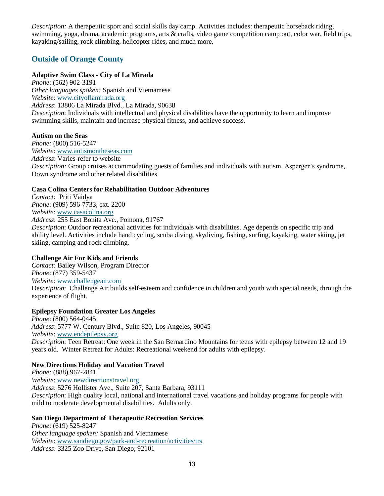*Description:* A therapeutic sport and social skills day camp. Activities includes: therapeutic horseback riding, swimming, yoga, drama, academic programs, arts & crafts, video game competition camp out, color war, field trips, kayaking/sailing, rock climbing, helicopter rides, and much more.

## **Outside of Orange County**

## **Adaptive Swim Class - City of La Mirada**

*Phone*: (562) 902-3191 *Other languages spoken:* Spanish and Vietnamese *Website*: [www.cityoflamirada.org](http://www.cityoflamirada.org/) *Address*: 13806 La Mirada Blvd., La Mirada, 90638 *De*s*cription*: Individuals with intellectual and physical disabilities have the opportunity to learn and improve swimming skills, maintain and increase physical fitness, and achieve success.

## **Autism on the Seas**

*Phone:* (800) 516-5247 *Website*: [www.autismontheseas.com](http://www.autismontheseas.com/) *Address*: Varies-refer to website *Description:* Group cruises accommodating guests of families and individuals with autism, Asperger's syndrome, Down syndrome and other related disabilities

## **Casa Colina Centers for Rehabilitation Outdoor Adventures**

*Contact:* Priti Vaidya *Phone*: (909) 596-7733, ext. 2200 *Website*: [www.casacolina.org](http://www.casacolina.org/) *Address*: 255 East Bonita Ave., Pomona, 91767

*Description*: Outdoor recreational activities for individuals with disabilities. Age depends on specific trip and ability level. Activities include hand cycling, scuba diving, skydiving, fishing, surfing, kayaking, water skiing, jet skiing, camping and rock climbing.

## **Challenge Air For Kids and Friends**

*Contact:* Bailey Wilson, Program Director *Phone*: (877) 359-5437 *Website*: [www.challengeair.com](http://www.challengeair.com/) De*scription*: Challenge Air builds self-esteem and confidence in children and youth with special needs, through the experience of flight.

#### **Epilepsy Foundation Greater Los Angeles**

*Phone*: (800) 564-0445 *Address*: 5777 W. Century Blvd., Suite 820, Los Angeles, 90045 *Website*: [www.endepilepsy.org](http://www.endepilepsy.org/) *De*s*cription*: Teen Retreat: One week in the San Bernardino Mountains for teens with epilepsy between 12 and 19 years old. Winter Retreat for Adults: Recreational weekend for adults with epilepsy.

## **New Directions Holiday and Vacation Travel**

*Phone:* (888) 967-2841 *Website*: [www.newdirectionstravel.org](http://www.newdirectionstravel.org/) *Address*: 5276 Hollister Ave., Suite 207, Santa Barbara, 93111 *Description*: High quality local, national and international travel vacations and holiday programs for people with mild to moderate developmental disabilities. Adults only.

## **San Diego Department of Therapeutic Recreation Services**

*Phone*: (619) 525-8247 *Other language spoken:* Spanish and Vietnamese *Website*: [www.sandiego.gov/park-and-recreation/activities/trs](http://www.sandiego.gov/park-and-recreation/activities/trs) *Address*: 3325 Zoo Drive, San Diego, 92101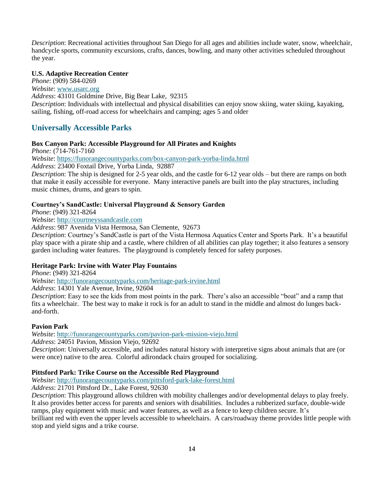*Description*: Recreational activities throughout San Diego for all ages and abilities include water, snow, wheelchair, handcycle sports, community excursions, crafts, dances, bowling, and many other activities scheduled throughout the year.

#### **U.S. Adaptive Recreation Center**

*Phone*: (909) 584-0269 *Website*: [www.usarc.org](http://www.usarc.org/) *Address*: 43101 Goldmine Drive, Big Bear Lake, 92315 *Description*: Individuals with intellectual and physical disabilities can enjoy snow skiing, water skiing, kayaking, sailing, fishing, off-road access for wheelchairs and camping; ages 5 and older

## **Universally Accessible Parks**

#### **Box Canyon Park: Accessible Playground for All Pirates and Knights**

*Phone:* (714-761-7160

*Website*:<https://funorangecountyparks.com/box-canyon-park-yorba-linda.html>

*Address*: 23400 Foxtail Drive, Yorba Linda, 92887

*Description*: The ship is designed for 2-5 year olds, and the castle for 6-12 year olds – but there are ramps on both that make it easily accessible for everyone. Many interactive panels are built into the play structures, including music chimes, drums, and gears to spin.

#### **Courtney's SandCastle: Universal Playground & Sensory Garden**

*Phone*: (949) 321-8264

*Website*: [http://courtneyssandcastle.com](http://courtneyssandcastle.com/)

*Address*: 987 Avenida Vista Hermosa, San Clemente, 92673

*Description*: Courtney's SandCastle is part of the Vista Hermosa Aquatics Center and Sports Park. It's a beautiful play space with a pirate ship and a castle, where children of all abilities can play together; it also features a sensory garden including water features. The playground is completely fenced for safety purposes.

## **Heritage Park: Irvine with Water Play Fountains**

*Phone*: (949) 321-8264

*Website*: <http://funorangecountyparks.com/heritage-park-irvine.html>

*Address*: 14301 Yale Avenue, Irvine, 92604

*Description*: Easy to see the kids from most points in the park. There's also an accessible "boat" and a ramp that fits a wheelchair. The best way to make it rock is for an adult to stand in the middle and almost do lunges backand-forth.

#### **Pavion Park**

*Website*: <http://funorangecountyparks.com/pavion-park-mission-viejo.html>

*Address*: 24051 Pavion, Mission Viejo, 92692

*Description*: Universally accessible, and includes natural history with interpretive signs about animals that are (or were once) native to the area. Colorful adirondack chairs grouped for socializing.

#### **Pittsford Park: Trike Course on the Accessible Red Playground**

*Website*: <http://funorangecountyparks.com/pittsford-park-lake-forest.html>

*Address*: 21701 Pittsford Dr., Lake Forest, 92630

*Description*: This playground allows children with mobility challenges and/or developmental delays to play freely. It also provides better access for parents and seniors with disabilities. Includes a rubberized surface, double-wide ramps, play equipment with music and water features, as well as a fence to keep children secure. It's brilliant red with even the upper levels accessible to wheelchairs. A cars/roadway theme provides little people with stop and yield signs and a trike course.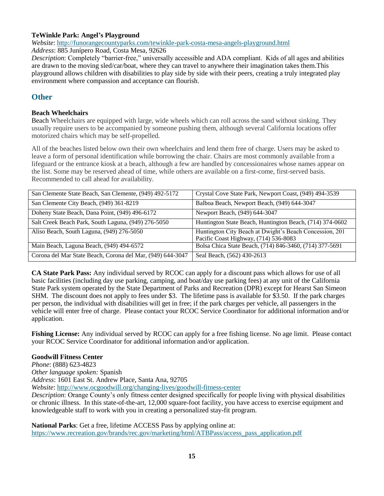## **TeWinkle Park: Angel's Playground**

*Website*: <http://funorangecountyparks.com/tewinkle-park-costa-mesa-angels-playground.html>

*Address*: 885 Junípero Road, Costa Mesa, 92626

*Description*: Completely "barrier-free," universally accessible and ADA compliant. Kids of all ages and abilities are drawn to the moving sled/car/boat, where they can travel to anywhere their imagination takes them.This playground allows children with disabilities to play side by side with their peers, creating a truly integrated play environment where compassion and acceptance can flourish.

## **Other**

#### **Beach Wheelchairs**

Beach Wheelchairs are equipped with large, wide wheels which can roll across the sand without sinking. They usually require users to be accompanied by someone pushing them, although several California locations offer motorized chairs which may be self-propelled.

All of the beaches listed below own their own wheelchairs and lend them free of charge. Users may be asked to leave a form of personal identification while borrowing the chair. Chairs are most commonly available from a lifeguard or the entrance kiosk at a beach, although a few are handled by concessionaires whose names appear on the list. Some may be reserved ahead of time, while others are available on a first-come, first-served basis. Recommended to call ahead for availability.

| San Clemente State Beach, San Clemente, (949) 492-5172     | Crystal Cove State Park, Newport Coast, (949) 494-3539                                           |
|------------------------------------------------------------|--------------------------------------------------------------------------------------------------|
| San Clemente City Beach, (949) 361-8219                    | Balboa Beach, Newport Beach, (949) 644-3047                                                      |
| Doheny State Beach, Dana Point, (949) 496-6172             | Newport Beach, (949) 644-3047                                                                    |
| Salt Creek Beach Park, South Laguna, (949) 276-5050        | Huntington State Beach, Huntington Beach, (714) 374-0602                                         |
| Aliso Beach, South Laguna, (949) 276-5050                  | Huntington City Beach at Dwight's Beach Concession, 201<br>Pacific Coast Highway, (714) 536-8083 |
| Main Beach, Laguna Beach, (949) 494-6572                   | Bolsa Chica State Beach, (714) 846-3460, (714) 377-5691                                          |
| Corona del Mar State Beach, Corona del Mar, (949) 644-3047 | Seal Beach, (562) 430-2613                                                                       |

**CA State Park Pass:** Any individual served by RCOC can apply for a discount pass which allows for use of all basic facilities (including day use parking, camping, and boat/day use parking fees) at any unit of the California State Park system operated by the State Department of Parks and Recreation (DPR) except for Hearst San Simeon SHM. The discount does not apply to fees under \$3. The lifetime pass is available for \$3.50. If the park charges per person, the individual with disabilities will get in free; if the park charges per vehicle, all passengers in the vehicle will enter free of charge. Please contact your RCOC Service Coordinator for additional information and/or application.

**Fishing License:** Any individual served by RCOC can apply for a free fishing license. No age limit. Please contact your RCOC Service Coordinator for additional information and/or application.

## **Goodwill Fitness Center**

*Phone*: (888) 623-4823 *Other language spoken:* Spanish *Address*: 1601 East St. Andrew Place, Santa Ana, 92705 *Website*:<http://www.ocgoodwill.org/changing-lives/goodwill-fitness-center>

*Description*: Orange County's only fitness center designed specifically for people living with physical disabilities or chronic illness. In this state-of-the-art, 12,000 square-foot facility, you have access to exercise equipment and knowledgeable staff to work with you in creating a personalized stay-fit program.

**National Parks**: Get a free, lifetime ACCESS Pass by applying online at: [https://www.recreation.gov/brands/rec.gov/marketing/html/ATBPass/access\\_pass\\_application.pdf](https://www.recreation.gov/brands/rec.gov/marketing/html/ATBPass/access_pass_application.pdf)